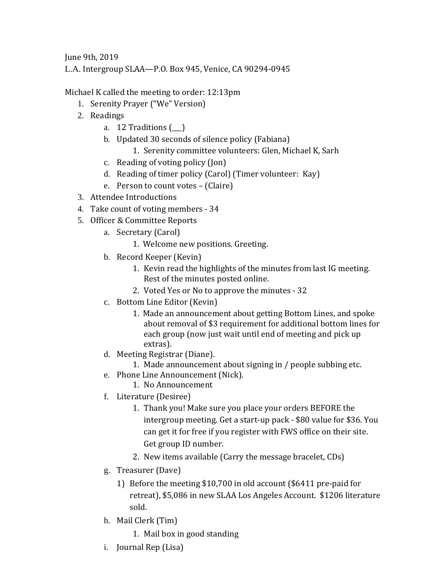June 9th, 2019 L.A. Intergroup SLAA—P.O. Box 945, Venice, CA 90294-0945

Michael K called the meeting to order: 12:13pm

- 1. Serenity Prayer ("We" Version)
- 2. Readings
	- a. 12 Traditions  $(\_)$
	- b. Updated 30 seconds of silence policy (Fabiana)
		- 1. Serenity committee volunteers: Glen, Michael K, Sarh
	- c. Reading of voting policy (Jon)
	- d. Reading of timer policy (Carol) (Timer volunteer: Kay)
	- e. Person to count votes (Claire)
- 3. Attendee Introductions
- 4. Take count of voting members 34
- 5. Officer & Committee Reports
	- a. Secretary (Carol)
		- 1. Welcome new positions. Greeting.
	- b. Record Keeper (Kevin)
		- 1. Kevin read the highlights of the minutes from last IG meeting. Rest of the minutes posted online.
		- 2. Voted Yes or No to approve the minutes 32
	- c. Bottom Line Editor (Kevin)
		- 1. Made an announcement about getting Bottom Lines, and spoke about removal of \$3 requirement for additional bottom lines for each group (now just wait until end of meeting and pick up extras).
	- d. Meeting Registrar (Diane).
		- 1. Made announcement about signing in / people subbing etc.
	- e. Phone Line Announcement (Nick).
		- 1. No Announcement
	- f. Literature (Desiree)
		- 1. Thank you! Make sure you place your orders BEFORE the intergroup meeting. Get a start-up pack - \$80 value for \$36. You can get it for free if you register with FWS office on their site. Get group ID number.
		- 2. New items available (Carry the message bracelet, CDs)
	- g. Treasurer (Dave)
		- 1) Before the meeting \$10,700 in old account (\$6411 pre-paid for retreat), \$5,086 in new SLAA Los Angeles Account. \$1206 literature sold.
	- h. Mail Clerk (Tim)
		- 1. Mail box in good standing
	- i. Journal Rep (Lisa)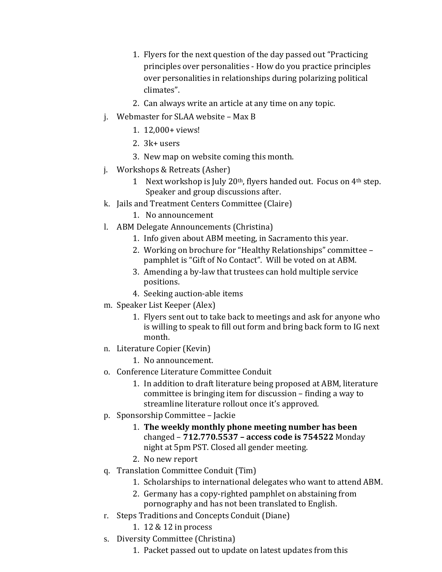- 1. Flyers for the next question of the day passed out "Practicing principles over personalities - How do you practice principles over personalities in relationships during polarizing political climates".
- 2. Can always write an article at any time on any topic.
- j. Webmaster for SLAA website Max B
	- 1. 12,000+ views!
	- 2. 3k+ users
	- 3. New map on website coming this month.
- j. Workshops & Retreats (Asher)
	- 1 Next workshop is July 20<sup>th</sup>, flyers handed out. Focus on 4<sup>th</sup> step. Speaker and group discussions after.
- k. Jails and Treatment Centers Committee (Claire)
	- 1. No announcement
- l. ABM Delegate Announcements (Christina)
	- 1. Info given about ABM meeting, in Sacramento this year.
	- 2. Working on brochure for "Healthy Relationships" committee pamphlet is "Gift of No Contact". Will be voted on at ABM.
	- 3. Amending a by-law that trustees can hold multiple service positions.
	- 4. Seeking auction-able items
- m. Speaker List Keeper (Alex)
	- 1. Flyers sent out to take back to meetings and ask for anyone who is willing to speak to fill out form and bring back form to IG next month.
- n. Literature Copier (Kevin)
	- 1. No announcement.
- o. Conference Literature Committee Conduit
	- 1. In addition to draft literature being proposed at ABM, literature committee is bringing item for discussion – finding a way to streamline literature rollout once it's approved.
- p. Sponsorship Committee Jackie
	- 1. **The weekly monthly phone meeting number has been** changed – **712.770.5537 – access code is 754522** Monday night at 5pm PST. Closed all gender meeting.
	- 2. No new report
- q. Translation Committee Conduit (Tim)
	- 1. Scholarships to international delegates who want to attend ABM.
	- 2. Germany has a copy-righted pamphlet on abstaining from pornography and has not been translated to English.
- r. Steps Traditions and Concepts Conduit (Diane)
	- 1. 12 & 12 in process
- s. Diversity Committee (Christina)
	- 1. Packet passed out to update on latest updates from this